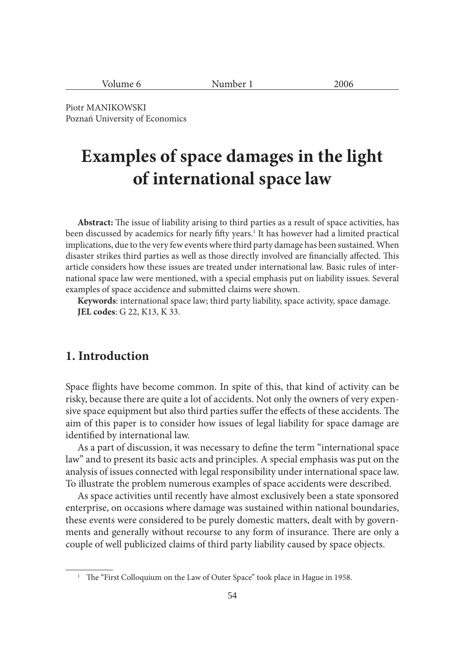| ۰۵۴<br>. If<br>ш<br>. .<br>____<br>$\sim$<br>__ |  |
|-------------------------------------------------|--|
|-------------------------------------------------|--|

Piotr MANIKOWSKI Poznań University of Economics

# **Examples of space damages in the light of international space law**

Abstract: The issue of liability arising to third parties as a result of space activities, has been discussed by academics for nearly fifty years.<sup>1</sup> It has however had a limited practical implications, due to the very few events where third party damage has been sustained. When disaster strikes third parties as well as those directly involved are financially affected. This article considers how these issues are treated under international law. Basic rules of international space law were mentioned, with a special emphasis put on liability issues. Several examples of space accidence and submitted claims were shown.

**Keywords**: international space law; third party liability, space activity, space damage. **JEL codes**: G 22, K13, K 33.

#### **1. Introduction**

Space flights have become common. In spite of this, that kind of activity can be risky, because there are quite a lot of accidents. Not only the owners of very expensive space equipment but also third parties suffer the effects of these accidents. The aim of this paper is to consider how issues of legal liability for space damage are identified by international law.

As a part of discussion, it was necessary to define the term "international space law" and to present its basic acts and principles. A special emphasis was put on the analysis of issues connected with legal responsibility under international space law. To illustrate the problem numerous examples of space accidents were described.

As space activities until recently have almost exclusively been a state sponsored enterprise, on occasions where damage was sustained within national boundaries, these events were considered to be purely domestic matters, dealt with by governments and generally without recourse to any form of insurance. There are only a couple of well publicized claims of third party liability caused by space objects.

<sup>&</sup>lt;sup>1</sup> The "First Colloquium on the Law of Outer Space" took place in Hague in 1958.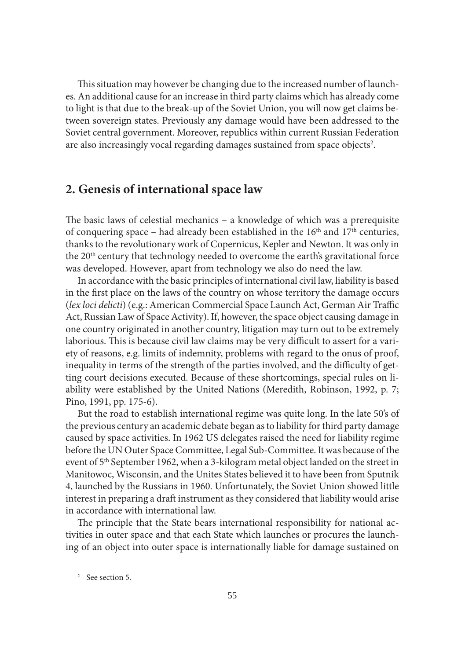This situation may however be changing due to the increased number of launches. An additional cause for an increase in third party claims which has already come to light is that due to the break-up of the Soviet Union, you will now get claims between sovereign states. Previously any damage would have been addressed to the Soviet central government. Moreover, republics within current Russian Federation are also increasingly vocal regarding damages sustained from space objects<sup>2</sup>.

#### **2. Genesis of international space law**

The basic laws of celestial mechanics  $-$  a knowledge of which was a prerequisite of conquering space – had already been established in the  $16<sup>th</sup>$  and  $17<sup>th</sup>$  centuries, thanks to the revolutionary work of Copernicus, Kepler and Newton. It was only in the 20<sup>th</sup> century that technology needed to overcome the earth's gravitational force was developed. However, apart from technology we also do need the law.

In accordance with the basic principles of international civil law, liability is based in the first place on the laws of the country on whose territory the damage occurs (lex loci delicti) (e.g.: American Commercial Space Launch Act, German Air Traffic Act, Russian Law of Space Activity). If, however, the space object causing damage in one country originated in another country, litigation may turn out to be extremely laborious. This is because civil law claims may be very difficult to assert for a variety of reasons, e.g. limits of indemnity, problems with regard to the onus of proof, inequality in terms of the strength of the parties involved, and the difficulty of getting court decisions executed. Because of these shortcomings, special rules on liability were established by the United Nations (Meredith, Robinson, 1992, p. 7; Pino, 1991, pp. 175-6).

But the road to establish international regime was quite long. In the late 50's of the previous century an academic debate began as to liability for third party damage caused by space activities. In 1962 US delegates raised the need for liability regime before the UN Outer Space Committee, Legal Sub-Committee. It was because of the event of 5<sup>th</sup> September 1962, when a 3-kilogram metal object landed on the street in Manitowoc, Wisconsin, and the Unites States believed it to have been from Sputnik 4, launched by the Russians in 1960. Unfortunately, the Soviet Union showed little interest in preparing a draft instrument as they considered that liability would arise in accordance with international law.

The principle that the State bears international responsibility for national activities in outer space and that each State which launches or procures the launching of an object into outer space is internationally liable for damage sustained on

<sup>2</sup> See section 5.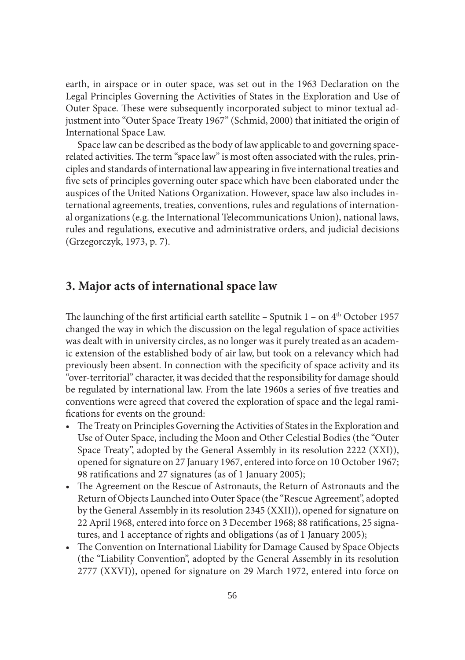earth, in airspace or in outer space, was set out in the 1963 Declaration on the Legal Principles Governing the Activities of States in the Exploration and Use of Outer Space. These were subsequently incorporated subject to minor textual adjustment into "Outer Space Treaty 1967" (Schmid, 2000) that initiated the origin of International Space Law.

Space law can be described as the body of law applicable to and governing spacerelated activities. The term "space law" is most often associated with the rules, principles and standards of international law appearing in five international treaties and five sets of principles governing outer space which have been elaborated under the auspices of the United Nations Organization. However, space law also includes international agreements, treaties, conventions, rules and regulations of international organizations (e.g. the International Telecommunications Union), national laws, rules and regulations, executive and administrative orders, and judicial decisions (Grzegorczyk, 1973, p. 7).

### **3. Major acts of international space law**

The launching of the first artificial earth satellite – Sputnik  $1$  – on  $4<sup>th</sup>$  October 1957 changed the way in which the discussion on the legal regulation of space activities was dealt with in university circles, as no longer was it purely treated as an academic extension of the established body of air law, but took on a relevancy which had previously been absent. In connection with the specificity of space activity and its "over-territorial" character, it was decided that the responsibility for damage should be regulated by international law. From the late 1960s a series of five treaties and conventions were agreed that covered the exploration of space and the legal ramifications for events on the ground:

- The Treaty on Principles Governing the Activities of States in the Exploration and Use of Outer Space, including the Moon and Other Celestial Bodies (the "Outer Space Treaty", adopted by the General Assembly in its resolution 2222 (XXI)), opened for signature on 27 January 1967, entered into force on 10 October 1967; 98 ratifications and 27 signatures (as of 1 January 2005);
- The Agreement on the Rescue of Astronauts, the Return of Astronauts and the Return of Objects Launched into Outer Space (the "Rescue Agreement", adopted by the General Assembly in its resolution 2345 (XXII)), opened for signature on 22 April 1968, entered into force on 3 December 1968; 88 ratifications, 25 signatures, and 1 acceptance of rights and obligations (as of 1 January 2005);
- The Convention on International Liability for Damage Caused by Space Objects (the "Liability Convention", adopted by the General Assembly in its resolution 2777 (XXVI)), opened for signature on 29 March 1972, entered into force on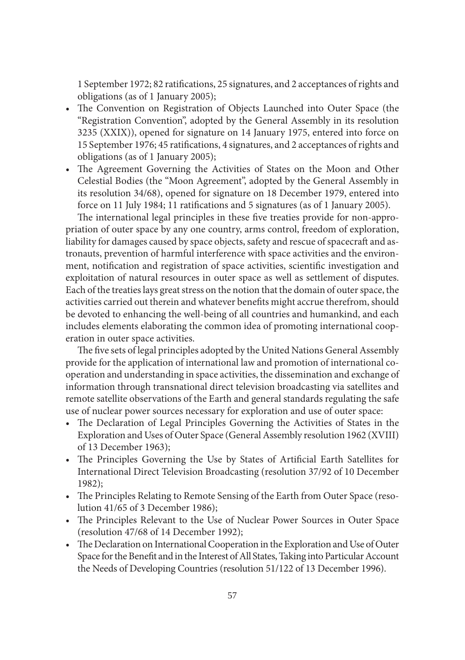1 September 1972; 82 ratifications, 25 signatures, and 2 acceptances of rights and obligations (as of 1 January 2005);

- The Convention on Registration of Objects Launched into Outer Space (the "Registration Convention", adopted by the General Assembly in its resolution 3235 (XXIX)), opened for signature on 14 January 1975, entered into force on 15 September 1976; 45 ratifications, 4 signatures, and 2 acceptances of rights and obligations (as of 1 January 2005);
- The Agreement Governing the Activities of States on the Moon and Other Celestial Bodies (the "Moon Agreement", adopted by the General Assembly in its resolution 34/68), opened for signature on 18 December 1979, entered into force on 11 July 1984; 11 ratifications and 5 signatures (as of 1 January 2005).

The international legal principles in these five treaties provide for non-appropriation of outer space by any one country, arms control, freedom of exploration, liability for damages caused by space objects, safety and rescue of spacecraft and astronauts, prevention of harmful interference with space activities and the environment, notification and registration of space activities, scientific investigation and exploitation of natural resources in outer space as well as settlement of disputes. Each of the treaties lays great stress on the notion that the domain of outer space, the activities carried out therein and whatever benefits might accrue therefrom, should be devoted to enhancing the well-being of all countries and humankind, and each includes elements elaborating the common idea of promoting international cooperation in outer space activities.

The five sets of legal principles adopted by the United Nations General Assembly provide for the application of international law and promotion of international cooperation and understanding in space activities, the dissemination and exchange of information through transnational direct television broadcasting via satellites and remote satellite observations of the Earth and general standards regulating the safe use of nuclear power sources necessary for exploration and use of outer space:

- The Declaration of Legal Principles Governing the Activities of States in the Exploration and Uses of Outer Space (General Assembly resolution 1962 (XVIII) of 13 December 1963);
- The Principles Governing the Use by States of Artificial Earth Satellites for International Direct Television Broadcasting (resolution 37/92 of 10 December 1982);
- The Principles Relating to Remote Sensing of the Earth from Outer Space (resolution 41/65 of 3 December 1986);
- The Principles Relevant to the Use of Nuclear Power Sources in Outer Space (resolution 47/68 of 14 December 1992);
- The Declaration on International Cooperation in the Exploration and Use of Outer Space for the Benefit and in the Interest of All States, Taking into Particular Account the Needs of Developing Countries (resolution 51/122 of 13 December 1996).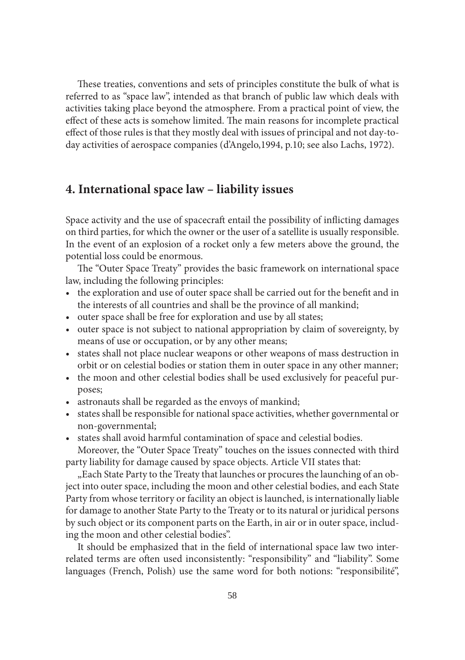These treaties, conventions and sets of principles constitute the bulk of what is referred to as "space law", intended as that branch of public law which deals with activities taking place beyond the atmosphere. From a practical point of view, the effect of these acts is somehow limited. The main reasons for incomplete practical effect of those rules is that they mostly deal with issues of principal and not day-today activities of aerospace companies (d'Angelo,1994, p.10; see also Lachs, 1972).

#### **4. International space law – liability issues**

Space activity and the use of spacecraft entail the possibility of inflicting damages on third parties, for which the owner or the user of a satellite is usually responsible. In the event of an explosion of a rocket only a few meters above the ground, the potential loss could be enormous.

The "Outer Space Treaty" provides the basic framework on international space law, including the following principles:

- the exploration and use of outer space shall be carried out for the benefit and in the interests of all countries and shall be the province of all mankind;
- outer space shall be free for exploration and use by all states;
- outer space is not subject to national appropriation by claim of sovereignty, by means of use or occupation, or by any other means;
- states shall not place nuclear weapons or other weapons of mass destruction in orbit or on celestial bodies or station them in outer space in any other manner;
- the moon and other celestial bodies shall be used exclusively for peaceful purposes;
- astronauts shall be regarded as the envoys of mankind;
- states shall be responsible for national space activities, whether governmental or non-governmental;
- states shall avoid harmful contamination of space and celestial bodies.

Moreover, the "Outer Space Treaty" touches on the issues connected with third party liability for damage caused by space objects. Article VII states that:

". Each State Party to the Treaty that launches or procures the launching of an object into outer space, including the moon and other celestial bodies, and each State Party from whose territory or facility an object is launched, is internationally liable for damage to another State Party to the Treaty or to its natural or juridical persons by such object or its component parts on the Earth, in air or in outer space, including the moon and other celestial bodies".

It should be emphasized that in the field of international space law two interrelated terms are often used inconsistently: "responsibility" and "liability". Some languages (French, Polish) use the same word for both notions: "responsibilité",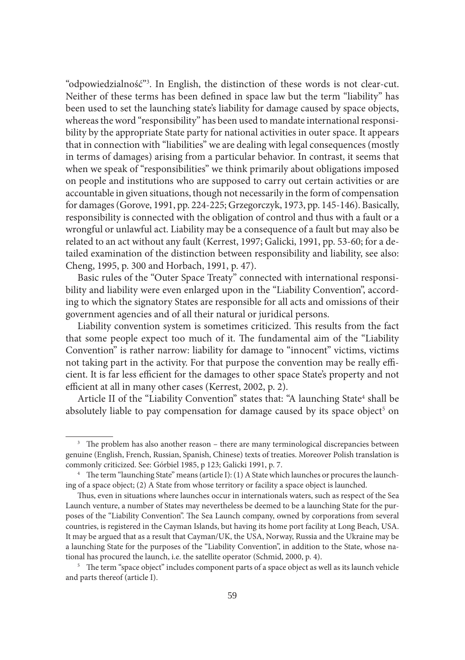"odpowiedzialność"3 . In English, the distinction of these words is not clear-cut. Neither of these terms has been defined in space law but the term "liability" has been used to set the launching state's liability for damage caused by space objects, whereas the word "responsibility" has been used to mandate international responsibility by the appropriate State party for national activities in outer space. It appears that in connection with "liabilities" we are dealing with legal consequences (mostly in terms of damages) arising from a particular behavior. In contrast, it seems that when we speak of "responsibilities" we think primarily about obligations imposed on people and institutions who are supposed to carry out certain activities or are accountable in given situations, though not necessarily in the form of compensation for damages (Gorove, 1991, pp. 224-225; Grzegorczyk, 1973, pp. 145-146). Basically, responsibility is connected with the obligation of control and thus with a fault or a wrongful or unlawful act. Liability may be a consequence of a fault but may also be related to an act without any fault (Kerrest, 1997; Galicki, 1991, pp. 53-60; for a detailed examination of the distinction between responsibility and liability, see also: Cheng, 1995, p. 300 and Horbach, 1991, p. 47).

Basic rules of the "Outer Space Treaty" connected with international responsibility and liability were even enlarged upon in the "Liability Convention", according to which the signatory States are responsible for all acts and omissions of their government agencies and of all their natural or juridical persons.

Liability convention system is sometimes criticized. This results from the fact that some people expect too much of it. The fundamental aim of the "Liability Convention" is rather narrow: liability for damage to "innocent" victims, victims not taking part in the activity. For that purpose the convention may be really efficient. It is far less efficient for the damages to other space State's property and not efficient at all in many other cases (Kerrest, 2002, p. 2).

Article II of the "Liability Convention" states that: "A launching State<sup>4</sup> shall be absolutely liable to pay compensation for damage caused by its space object<sup>5</sup> on

<sup>5</sup> The term "space object" includes component parts of a space object as well as its launch vehicle and parts thereof (article I).

<sup>&</sup>lt;sup>3</sup> The problem has also another reason – there are many terminological discrepancies between genuine (English, French, Russian, Spanish, Chinese) texts of treaties. Moreover Polish translation is commonly criticized. See: Górbiel 1985, p 123; Galicki 1991, p. 7.<br><sup>4</sup> The term "launching State" means (article I): (1) A State which launches or procures the launch-

ing of a space object; (2) A State from whose territory or facility a space object is launched.

Thus, even in situations where launches occur in internationals waters, such as respect of the Sea Launch venture, a number of States may nevertheless be deemed to be a launching State for the purposes of the "Liability Convention". The Sea Launch company, owned by corporations from several countries, is registered in the Cayman Islands, but having its home port facility at Long Beach, USA. It may be argued that as a result that Cayman/UK, the USA, Norway, Russia and the Ukraine may be a launching State for the purposes of the "Liability Convention", in addition to the State, whose national has procured the launch, i.e. the satellite operator (Schmid, 2000, p. 4).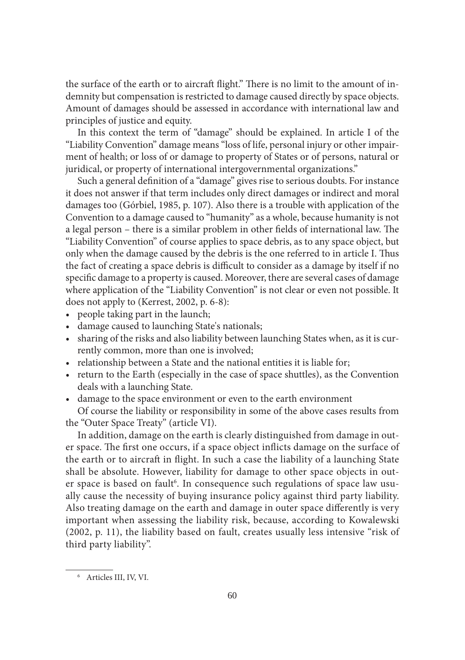the surface of the earth or to aircraft flight." There is no limit to the amount of indemnity but compensation is restricted to damage caused directly by space objects. Amount of damages should be assessed in accordance with international law and principles of justice and equity.

In this context the term of "damage" should be explained. In article I of the "Liability Convention" damage means "loss of life, personal injury or other impairment of health; or loss of or damage to property of States or of persons, natural or juridical, or property of international intergovernmental organizations."

Such a general definition of a "damage" gives rise to serious doubts. For instance it does not answer if that term includes only direct damages or indirect and moral damages too (Górbiel, 1985, p. 107). Also there is a trouble with application of the Convention to a damage caused to "humanity" as a whole, because humanity is not a legal person – there is a similar problem in other fields of international law. The "Liability Convention" of course applies to space debris, as to any space object, but only when the damage caused by the debris is the one referred to in article I. Thus the fact of creating a space debris is difficult to consider as a damage by itself if no specific damage to a property is caused. Moreover, there are several cases of damage where application of the "Liability Convention" is not clear or even not possible. It does not apply to (Kerrest, 2002, p. 6-8):

- people taking part in the launch;
- damage caused to launching State's nationals;
- sharing of the risks and also liability between launching States when, as it is currently common, more than one is involved;
- relationship between a State and the national entities it is liable for;
- return to the Earth (especially in the case of space shuttles), as the Convention deals with a launching State.
- damage to the space environment or even to the earth environment Of course the liability or responsibility in some of the above cases results from
- the "Outer Space Treaty" (article VI).

In addition, damage on the earth is clearly distinguished from damage in outer space. The first one occurs, if a space object inflicts damage on the surface of the earth or to aircraft in flight. In such a case the liability of a launching State shall be absolute. However, liability for damage to other space objects in outer space is based on fault<sup>6</sup>. In consequence such regulations of space law usually cause the necessity of buying insurance policy against third party liability. Also treating damage on the earth and damage in outer space differently is very important when assessing the liability risk, because, according to Kowalewski (2002, p. 11), the liability based on fault, creates usually less intensive "risk of third party liability".

<sup>6</sup> Articles III, IV, VI.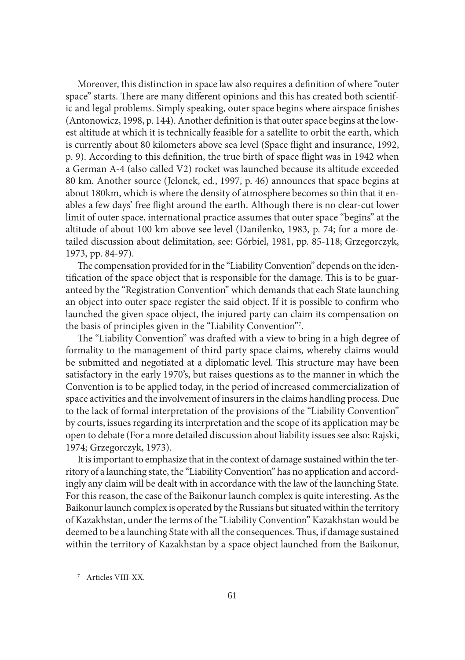Moreover, this distinction in space law also requires a definition of where "outer space" starts. There are many different opinions and this has created both scientific and legal problems. Simply speaking, outer space begins where airspace finishes (Antonowicz, 1998, p. 144). Another definition is that outer space begins at the lowest altitude at which it is technically feasible for a satellite to orbit the earth, which is currently about 80 kilometers above sea level (Space flight and insurance, 1992, p. 9). According to this definition, the true birth of space flight was in 1942 when a German A-4 (also called V2) rocket was launched because its altitude exceeded 80 km. Another source (Jelonek, ed., 1997, p. 46) announces that space begins at about 180km, which is where the density of atmosphere becomes so thin that it enables a few days' free flight around the earth. Although there is no clear-cut lower limit of outer space, international practice assumes that outer space "begins" at the altitude of about 100 km above see level (Danilenko, 1983, p. 74; for a more detailed discussion about delimitation, see: Górbiel, 1981, pp. 85-118; Grzegorczyk, 1973, pp. 84-97).

The compensation provided for in the "Liability Convention" depends on the identification of the space object that is responsible for the damage. This is to be guaranteed by the "Registration Convention" which demands that each State launching an object into outer space register the said object. If it is possible to confirm who launched the given space object, the injured party can claim its compensation on the basis of principles given in the "Liability Convention"7 .

The "Liability Convention" was drafted with a view to bring in a high degree of formality to the management of third party space claims, whereby claims would be submitted and negotiated at a diplomatic level. This structure may have been satisfactory in the early 1970's, but raises questions as to the manner in which the Convention is to be applied today, in the period of increased commercialization of space activities and the involvement of insurers in the claims handling process. Due to the lack of formal interpretation of the provisions of the "Liability Convention" by courts, issues regarding its interpretation and the scope of its application may be open to debate (For a more detailed discussion about liability issues see also: Rajski, 1974; Grzegorczyk, 1973).

It is important to emphasize that in the context of damage sustained within the territory of a launching state, the "Liability Convention" has no application and accordingly any claim will be dealt with in accordance with the law of the launching State. For this reason, the case of the Baikonur launch complex is quite interesting. As the Baikonur launch complex is operated by the Russians but situated within the territory of Kazakhstan, under the terms of the "Liability Convention" Kazakhstan would be deemed to be a launching State with all the consequences. Thus, if damage sustained within the territory of Kazakhstan by a space object launched from the Baikonur,

<sup>7</sup> Articles VIII-XX.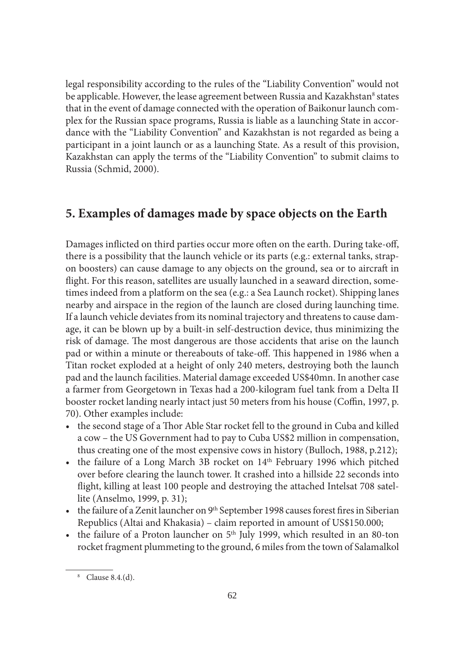legal responsibility according to the rules of the "Liability Convention" would not be applicable. However, the lease agreement between Russia and Kazakhstan<sup>8</sup> states that in the event of damage connected with the operation of Baikonur launch complex for the Russian space programs, Russia is liable as a launching State in accordance with the "Liability Convention" and Kazakhstan is not regarded as being a participant in a joint launch or as a launching State. As a result of this provision, Kazakhstan can apply the terms of the "Liability Convention" to submit claims to Russia (Schmid, 2000).

#### **5. Examples of damages made by space objects on the Earth**

Damages inflicted on third parties occur more often on the earth. During take-off, there is a possibility that the launch vehicle or its parts (e.g.: external tanks, strapon boosters) can cause damage to any objects on the ground, sea or to aircraft in flight. For this reason, satellites are usually launched in a seaward direction, sometimes indeed from a platform on the sea (e.g.: a Sea Launch rocket). Shipping lanes nearby and airspace in the region of the launch are closed during launching time. If a launch vehicle deviates from its nominal trajectory and threatens to cause damage, it can be blown up by a built-in self-destruction device, thus minimizing the risk of damage. The most dangerous are those accidents that arise on the launch pad or within a minute or thereabouts of take-off. This happened in 1986 when a Titan rocket exploded at a height of only 240 meters, destroying both the launch pad and the launch facilities. Material damage exceeded US\$40mn. In another case a farmer from Georgetown in Texas had a 200-kilogram fuel tank from a Delta II booster rocket landing nearly intact just 50 meters from his house (Coffin, 1997, p. 70). Other examples include:

- the second stage of a Thor Able Star rocket fell to the ground in Cuba and killed a cow – the US Government had to pay to Cuba US\$2 million in compensation, thus creating one of the most expensive cows in history (Bulloch, 1988, p.212);
- the failure of a Long March 3B rocket on  $14<sup>th</sup>$  February 1996 which pitched over before clearing the launch tower. It crashed into a hillside 22 seconds into flight, killing at least 100 people and destroying the attached Intelsat 708 satellite (Anselmo, 1999, p. 31);
- the failure of a Zenit launcher on 9<sup>th</sup> September 1998 causes forest fires in Siberian Republics (Altai and Khakasia) – claim reported in amount of US\$150.000;
- the failure of a Proton launcher on  $5<sup>th</sup>$  July 1999, which resulted in an 80-ton rocket fragment plummeting to the ground, 6 miles from the town of Salamalkol

<sup>8</sup> Clause 8.4.(d).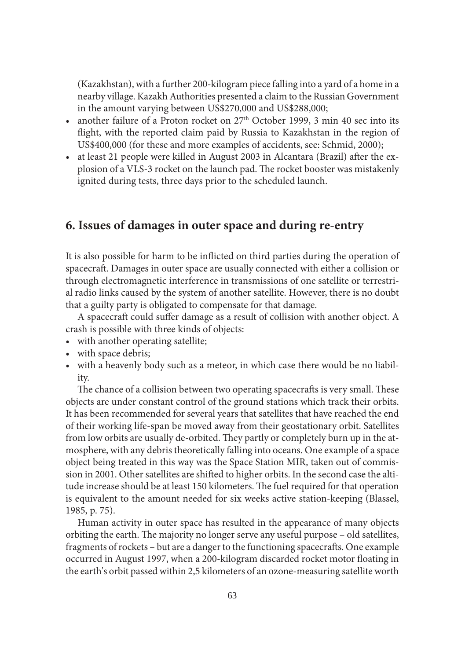(Kazakhstan), with a further 200-kilogram piece falling into a yard of a home in a nearby village. Kazakh Authorities presented a claim to the Russian Government in the amount varying between US\$270,000 and US\$288,000;

- another failure of a Proton rocket on  $27<sup>th</sup>$  October 1999, 3 min 40 sec into its flight, with the reported claim paid by Russia to Kazakhstan in the region of US\$400,000 (for these and more examples of accidents, see: Schmid, 2000);
- at least 21 people were killed in August 2003 in Alcantara (Brazil) after the explosion of a VLS-3 rocket on the launch pad. The rocket booster was mistakenly ignited during tests, three days prior to the scheduled launch.

# **6. Issues of damages in outer space and during re-entry**

It is also possible for harm to be inflicted on third parties during the operation of spacecraft. Damages in outer space are usually connected with either a collision or through electromagnetic interference in transmissions of one satellite or terrestrial radio links caused by the system of another satellite. However, there is no doubt that a guilty party is obligated to compensate for that damage.

A spacecraft could suffer damage as a result of collision with another object. A crash is possible with three kinds of objects:

- with another operating satellite;
- with space debris;
- with a heavenly body such as a meteor, in which case there would be no liability.

The chance of a collision between two operating spacecrafts is very small. These objects are under constant control of the ground stations which track their orbits. It has been recommended for several years that satellites that have reached the end of their working life-span be moved away from their geostationary orbit. Satellites from low orbits are usually de-orbited. They partly or completely burn up in the atmosphere, with any debris theoretically falling into oceans. One example of a space object being treated in this way was the Space Station MIR, taken out of commission in 2001. Other satellites are shifted to higher orbits. In the second case the altitude increase should be at least 150 kilometers. The fuel required for that operation is equivalent to the amount needed for six weeks active station-keeping (Blassel, 1985, p. 75).

Human activity in outer space has resulted in the appearance of many objects orbiting the earth. The majority no longer serve any useful purpose – old satellites, fragments of rockets – but are a danger to the functioning spacecrafts. One example occurred in August 1997, when a 200-kilogram discarded rocket motor floating in the earth's orbit passed within 2,5 kilometers of an ozone-measuring satellite worth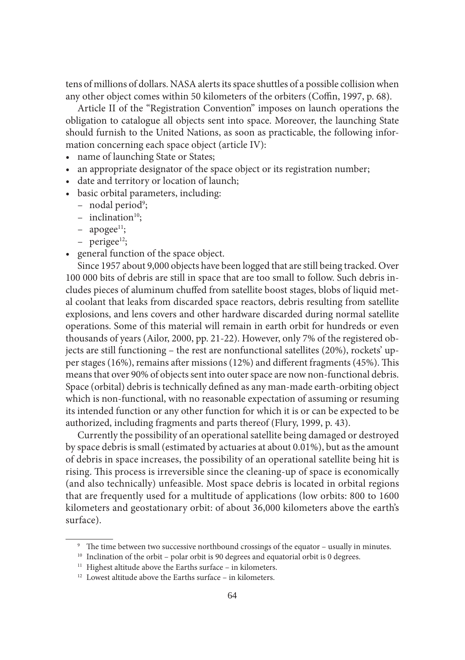tens of millions of dollars. NASA alerts its space shuttles of a possible collision when any other object comes within 50 kilometers of the orbiters (Coffin, 1997, p. 68).

Article II of the "Registration Convention" imposes on launch operations the obligation to catalogue all objects sent into space. Moreover, the launching State should furnish to the United Nations, as soon as practicable, the following information concerning each space object (article IV):

- name of launching State or States;
- an appropriate designator of the space object or its registration number;
- date and territory or location of launch;
- basic orbital parameters, including:
	- nodal period<sup>9</sup>;
	- $-$  inclination<sup>10</sup>;
	- $-$  apogee<sup>11</sup>;
	- $-$  perigee<sup>12</sup>;
- general function of the space object.

Since 1957 about 9,000 objects have been logged that are still being tracked. Over 100 000 bits of debris are still in space that are too small to follow. Such debris includes pieces of aluminum chuffed from satellite boost stages, blobs of liquid metal coolant that leaks from discarded space reactors, debris resulting from satellite explosions, and lens covers and other hardware discarded during normal satellite operations. Some of this material will remain in earth orbit for hundreds or even thousands of years (Ailor, 2000, pp. 21-22). However, only 7% of the registered objects are still functioning – the rest are nonfunctional satellites (20%), rockets' upper stages (16%), remains after missions (12%) and different fragments (45%). This means that over 90% of objects sent into outer space are now non-functional debris. Space (orbital) debris is technically defined as any man-made earth-orbiting object which is non-functional, with no reasonable expectation of assuming or resuming its intended function or any other function for which it is or can be expected to be authorized, including fragments and parts thereof (Flury, 1999, p. 43).

Currently the possibility of an operational satellite being damaged or destroyed by space debris is small (estimated by actuaries at about 0.01%), but as the amount of debris in space increases, the possibility of an operational satellite being hit is rising. This process is irreversible since the cleaning-up of space is economically (and also technically) unfeasible. Most space debris is located in orbital regions that are frequently used for a multitude of applications (low orbits: 800 to 1600 kilometers and geostationary orbit: of about 36,000 kilometers above the earth's surface).

<sup>&</sup>lt;sup>9</sup> The time between two successive northbound crossings of the equator – usually in minutes.

<sup>&</sup>lt;sup>10</sup> Inclination of the orbit – polar orbit is 90 degrees and equatorial orbit is 0 degrees.

<sup>&</sup>lt;sup>11</sup> Highest altitude above the Earths surface – in kilometers.

<sup>&</sup>lt;sup>12</sup> Lowest altitude above the Earths surface – in kilometers.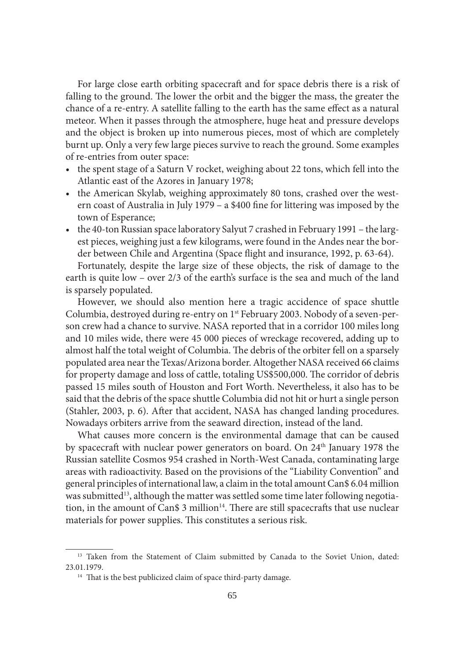For large close earth orbiting spacecraft and for space debris there is a risk of falling to the ground. The lower the orbit and the bigger the mass, the greater the chance of a re-entry. A satellite falling to the earth has the same effect as a natural meteor. When it passes through the atmosphere, huge heat and pressure develops and the object is broken up into numerous pieces, most of which are completely burnt up. Only a very few large pieces survive to reach the ground. Some examples of re-entries from outer space:

- the spent stage of a Saturn V rocket, weighing about 22 tons, which fell into the Atlantic east of the Azores in January 1978;
- the American Skylab, weighing approximately 80 tons, crashed over the western coast of Australia in July 1979 – a \$400 fine for littering was imposed by the town of Esperance;
- the 40-ton Russian space laboratory Salyut 7 crashed in February 1991 the largest pieces, weighing just a few kilograms, were found in the Andes near the border between Chile and Argentina (Space flight and insurance, 1992, p. 63-64).

Fortunately, despite the large size of these objects, the risk of damage to the earth is quite low – over 2/3 of the earth's surface is the sea and much of the land is sparsely populated.

However, we should also mention here a tragic accidence of space shuttle Columbia, destroyed during re-entry on 1st February 2003. Nobody of a seven-person crew had a chance to survive. NASA reported that in a corridor 100 miles long and 10 miles wide, there were 45 000 pieces of wreckage recovered, adding up to almost half the total weight of Columbia. The debris of the orbiter fell on a sparsely populated area near the Texas/Arizona border. Altogether NASA received 66 claims for property damage and loss of cattle, totaling US\$500,000. The corridor of debris passed 15 miles south of Houston and Fort Worth. Nevertheless, it also has to be said that the debris of the space shuttle Columbia did not hit or hurt a single person (Stahler, 2003, p. 6). After that accident, NASA has changed landing procedures. Nowadays orbiters arrive from the seaward direction, instead of the land.

What causes more concern is the environmental damage that can be caused by spacecraft with nuclear power generators on board. On 24<sup>th</sup> January 1978 the Russian satellite Cosmos 954 crashed in North-West Canada, contaminating large areas with radioactivity. Based on the provisions of the "Liability Convention" and general principles of international law, a claim in the total amount Can\$ 6.04 million was submitted<sup>13</sup>, although the matter was settled some time later following negotiation, in the amount of Can\$ 3 million $14$ . There are still spacecrafts that use nuclear materials for power supplies. This constitutes a serious risk.

<sup>&</sup>lt;sup>13</sup> Taken from the Statement of Claim submitted by Canada to the Soviet Union, dated: 23.01.1979.<br><sup>14</sup> That is the best publicized claim of space third-party damage.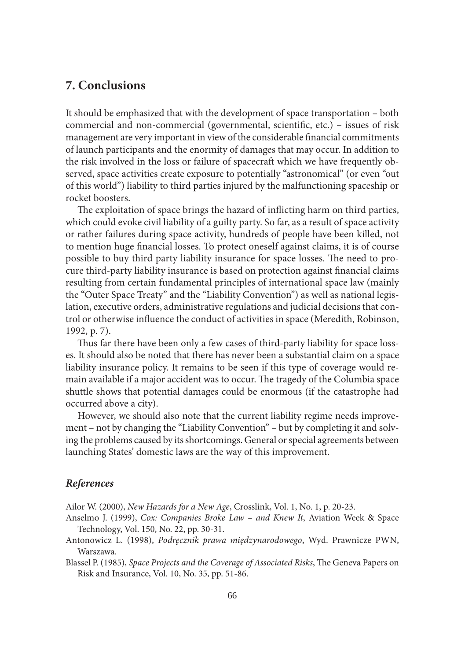# **7. Conclusions**

It should be emphasized that with the development of space transportation – both commercial and non-commercial (governmental, scientific, etc.) – issues of risk management are very important in view of the considerable financial commitments of launch participants and the enormity of damages that may occur. In addition to the risk involved in the loss or failure of spacecraft which we have frequently observed, space activities create exposure to potentially "astronomical" (or even "out of this world") liability to third parties injured by the malfunctioning spaceship or rocket boosters.

The exploitation of space brings the hazard of inflicting harm on third parties, which could evoke civil liability of a guilty party. So far, as a result of space activity or rather failures during space activity, hundreds of people have been killed, not to mention huge financial losses. To protect oneself against claims, it is of course possible to buy third party liability insurance for space losses. The need to procure third-party liability insurance is based on protection against financial claims resulting from certain fundamental principles of international space law (mainly the "Outer Space Treaty" and the "Liability Convention") as well as national legislation, executive orders, administrative regulations and judicial decisions that control or otherwise influence the conduct of activities in space (Meredith, Robinson, 1992, p. 7).

Thus far there have been only a few cases of third-party liability for space losses. It should also be noted that there has never been a substantial claim on a space liability insurance policy. It remains to be seen if this type of coverage would remain available if a major accident was to occur. The tragedy of the Columbia space shuttle shows that potential damages could be enormous (if the catastrophe had occurred above a city).

However, we should also note that the current liability regime needs improvement – not by changing the "Liability Convention" – but by completing it and solving the problems caused by its shortcomings. General or special agreements between launching States' domestic laws are the way of this improvement.

#### *References*

Ailor W. (2000), *New Hazards for a New Age*, Crosslink, Vol. 1, No. 1, p. 20-23.

- Anselmo J. (1999), *Cox: Companies Broke Law and Knew It*, Aviation Week & Space Technology, Vol. 150, No. 22, pp. 30-31.
- Antonowicz L. (1998), *Podręcznik prawa międzynarodowego*, Wyd. Prawnicze PWN, Warszawa.
- Blassel P. (1985), *Space Projects and the Coverage of Associated Risks*, The Geneva Papers on Risk and Insurance, Vol. 10, No. 35, pp. 51-86.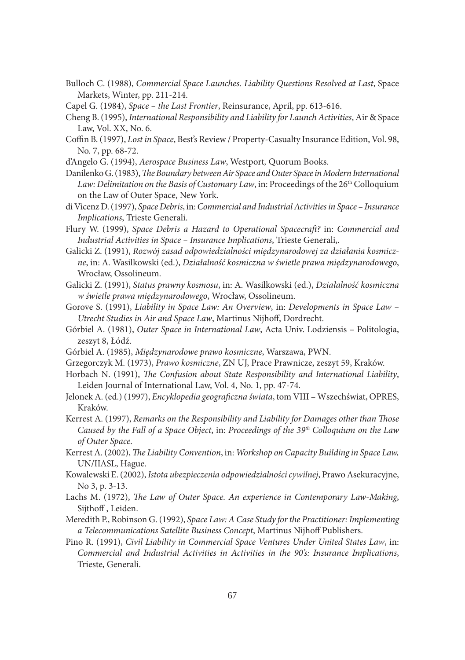- Bulloch C. (1988), *Commercial Space Launches. Liability Questions Resolved at Last*, Space Markets, Winter, pp. 211-214.
- Capel G. (1984), *Space the Last Frontier*, Reinsurance, April, pp. 613-616.
- Cheng B. (1995), *International Responsibility and Liability for Launch Activities*, Air & Space Law, Vol. XX, No. 6.
- Coffin B. (1997), *Lost in Space*, Best's Review / Property-Casualty Insurance Edition, Vol. 98, No. 7, pp. 68-72.
- d'Angelo G. (1994), *Aerospace Business Law*, Westport*,* Quorum Books.
- Danilenko G. (1983), *The Boundary between Air Space and Outer Space in Modern International* Law: Delimitation on the Basis of Customary Law, in: Proceedings of the 26<sup>th</sup> Colloquium on the Law of Outer Space, New York.
- di Vicenz D. (1997), *Space Debris*, in: *Commercial and Industrial Activities in Space Insurance Implications*, Trieste Generali.
- Flury W. (1999), *Space Debris a Hazard to Operational Spacecraft?* in: *Commercial and Industrial Activities in Space – Insurance Implications*, Trieste Generali,.
- Galicki Z. (1991), *Rozwój zasad odpowiedzialności międzynarodowej za działania kosmiczne*, in: A. Wasilkowski (ed.), *Działalność kosmiczna w świetle prawa międzynarodowego*, Wrocław, Ossolineum.
- Galicki Z. (1991), *Status prawny kosmosu*, in: A. Wasilkowski (ed.), *Działalność kosmiczna w świetle prawa międzynarodowego*, Wrocław, Ossolineum.
- Gorove S. (1991), *Liability in Space Law: An Overview*, in: *Developments in Space Law*  Utrecht Studies in Air and Space Law, Martinus Nijhoff, Dordrecht.
- Górbiel A. (1981), *Outer Space in International Law*, Acta Univ. Lodziensis Politologia, zeszyt 8, Łódź.
- Górbiel A. (1985), *Międzynarodowe prawo kosmiczne*, Warszawa, PWN.
- Grzegorczyk M. (1973), *Prawo kosmiczne*, ZN UJ, Prace Prawnicze, zeszyt 59, Kraków.
- Horbach N. (1991), *The Confusion about State Responsibility and International Liability*, Leiden Journal of International Law, Vol. 4, No. 1, pp. 47-74.
- Jelonek A. (ed.) (1997), *Encyklopedia geograficzna świata*, tom VIII Wszechświat, OPRES, Kraków.
- Kerrest A. (1997), *Remarks on the Responsibility and Liability for Damages other than Those Caused by the Fall of a Space Object*, in: *Proceedings of the 39th Colloquium on the Law of Outer Space*.
- Kerrest A. (2002), *The Liability Convention*, in: *Workshop on Capacity Building in Space Law*, UN/IIASL, Hague.
- Kowalewski E. (2002), *Istota ubezpieczenia odpowiedzialności cywilnej*, Prawo Asekuracyjne, No 3, p. 3-13.
- Lachs M. (1972), *The Law of Outer Space. An experience in Contemporary Law-Making*, Sijthoff , Leiden.
- Meredith P., Robinson G. (1992), *Space Law: A Case Study for the Practitioner: Implementing a Telecommunications Satellite Business Concept*, Martinus Nijhoff Publishers.
- Pino R. (1991), *Civil Liability in Commercial Space Ventures Under United States Law*, in: *Commercial and Industrial Activities in Activities in the 90's: Insurance Implications*, Trieste, Generali.